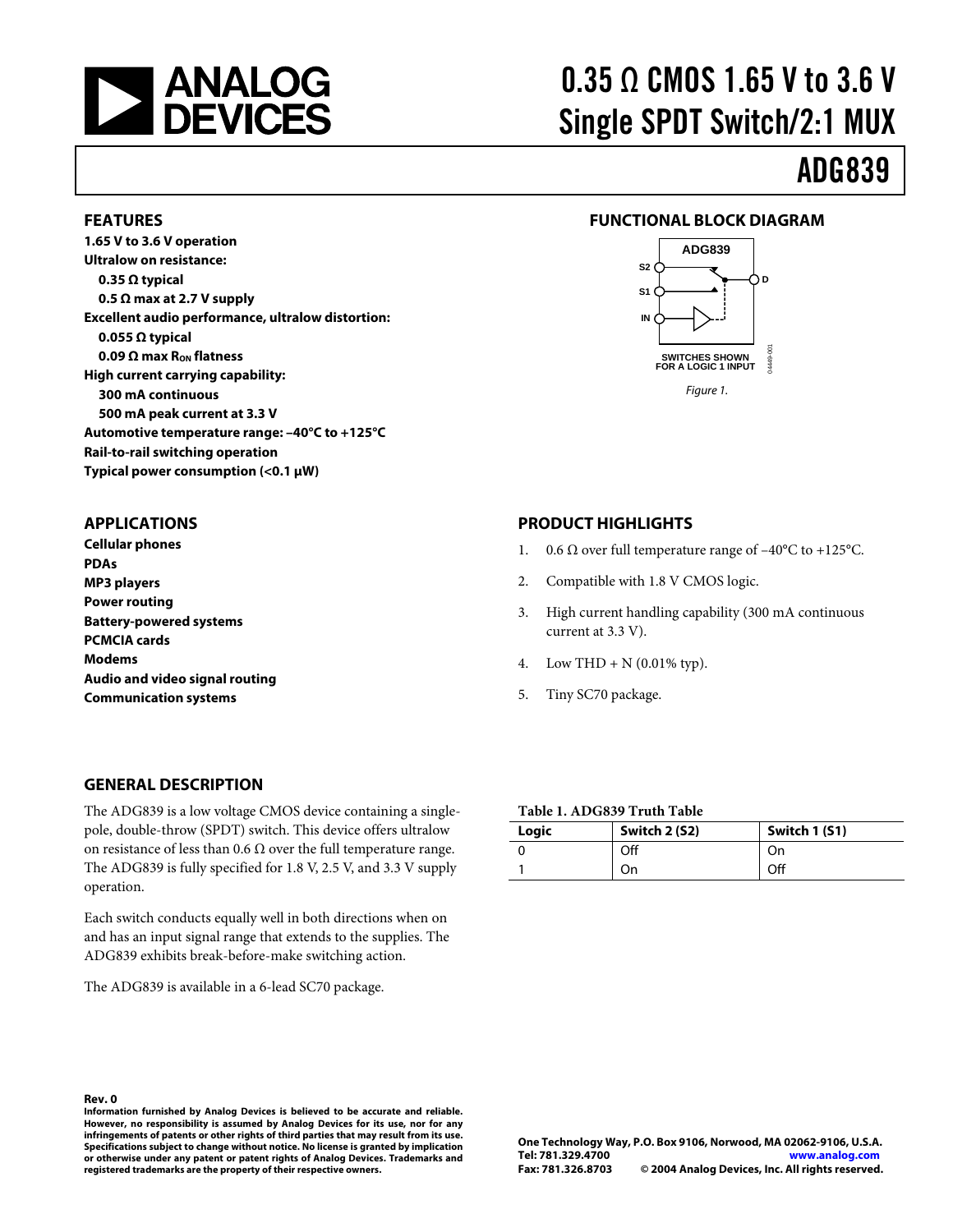

**FEATURES** 

**1.65 V to 3.6 V operation Ultralow on resistance: 0.35 Ω typical** 

**0.055 Ω typical**

**APPLICATIONS Cellular phones** 

**PCMCIA cards Modems** 

**Battery-powered systems** 

**PDAs MP3 players Power routing** 

**0.5 Ω max at 2.7 V supply** 

**0.09 Ω max RON flatness High current carrying capability: 300 mA continuous** 

**500 mA peak current at 3.3 V**

**Rail-to-rail switching operation Typical power consumption (<0.1 µW)** 

**Excellent audio performance, ultralow distortion:** 

**Automotive temperature range: –40°C to +125°C** 

# 0.35 Ω CMOS 1.65 V to 3.6 V Single SPDT Switch/2:1 MUX

# ADG839

#### **FUNCTIONAL BLOCK DIAGRAM**



### **PRODUCT HIGHLIGHTS**

- 1. 0.6  $\Omega$  over full temperature range of  $-40^{\circ}$ C to  $+125^{\circ}$ C.
- 2. Compatible with 1.8 V CMOS logic.
- 3. High current handling capability (300 mA continuous current at 3.3 V).
- 4. Low THD + N  $(0.01\% \text{ typ})$ .
- 5. Tiny SC70 package.

#### **GENERAL DESCRIPTION**

**Audio and video signal routing Communication systems** 

The ADG839 is a low voltage CMOS device containing a singlepole, double-throw (SPDT) switch. This device offers ultralow on resistance of less than 0.6  $\Omega$  over the full temperature range. The ADG839 is fully specified for 1.8 V, 2.5 V, and 3.3 V supply operation.

Each switch conducts equally well in both directions when on and has an input signal range that extends to the supplies. The ADG839 exhibits break-before-make switching action.

The ADG839 is available in a 6-lead SC70 package.

#### **Table 1. ADG839 Truth Table**

| Logic | Switch 2 (S2) | Switch 1 (S1) |
|-------|---------------|---------------|
|       | Off           | On            |
|       | On            | Off           |

**Rev. 0 Information furnished by Analog Devices is believed to be accurate and reliable. However, no responsibility is assumed by Analog Devices for its use, nor for any infringements of patents or other rights of third parties that may result from its use. Specifications subject to change without notice. No license is granted by implication or otherwise under any patent or patent rights of Analog Devices. Trademarks and registered trademarks are the property of their respective owners.**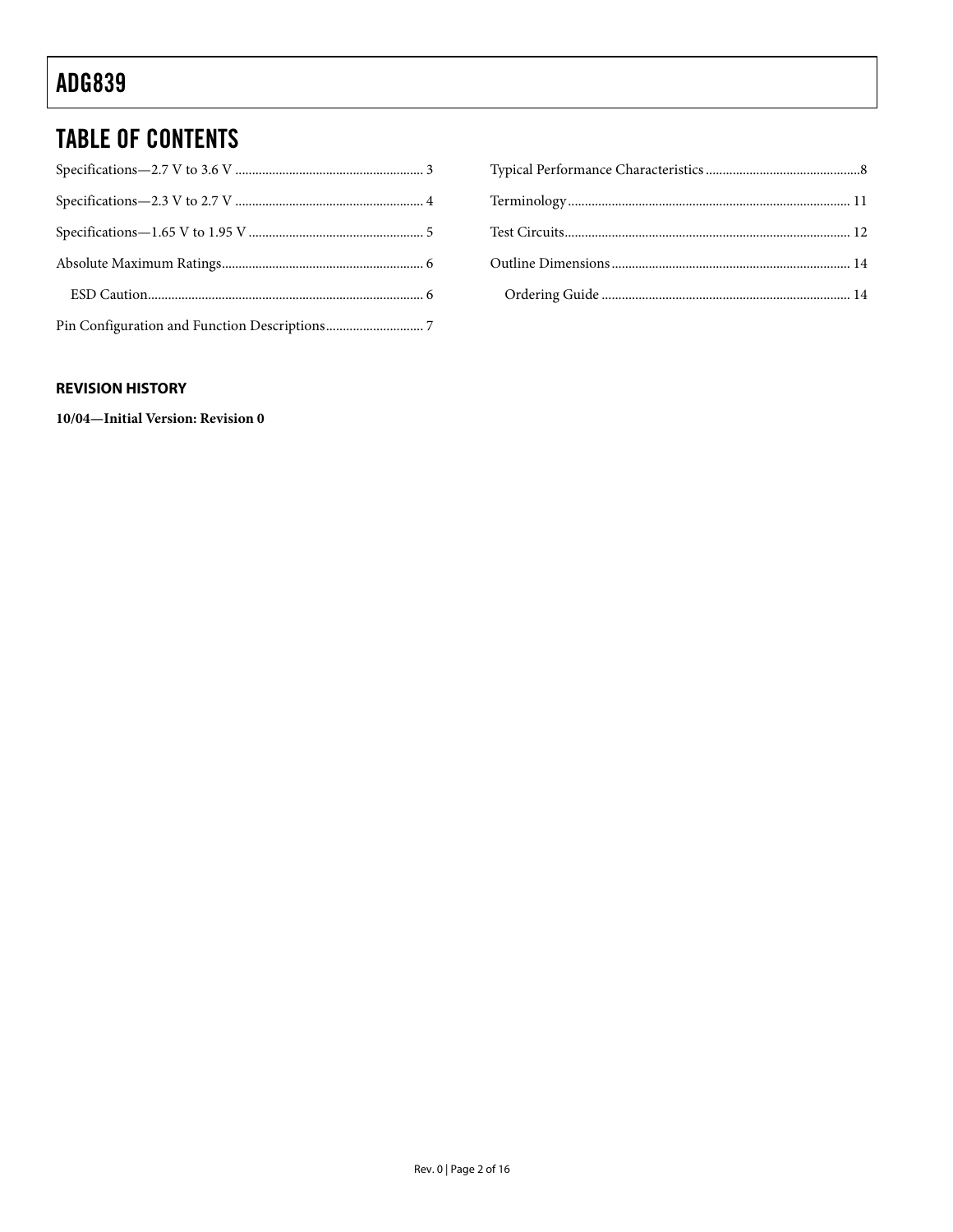## TABLE OF CONTENTS

### **REVISION HISTORY**

**10/04—Initial Version: Revision 0**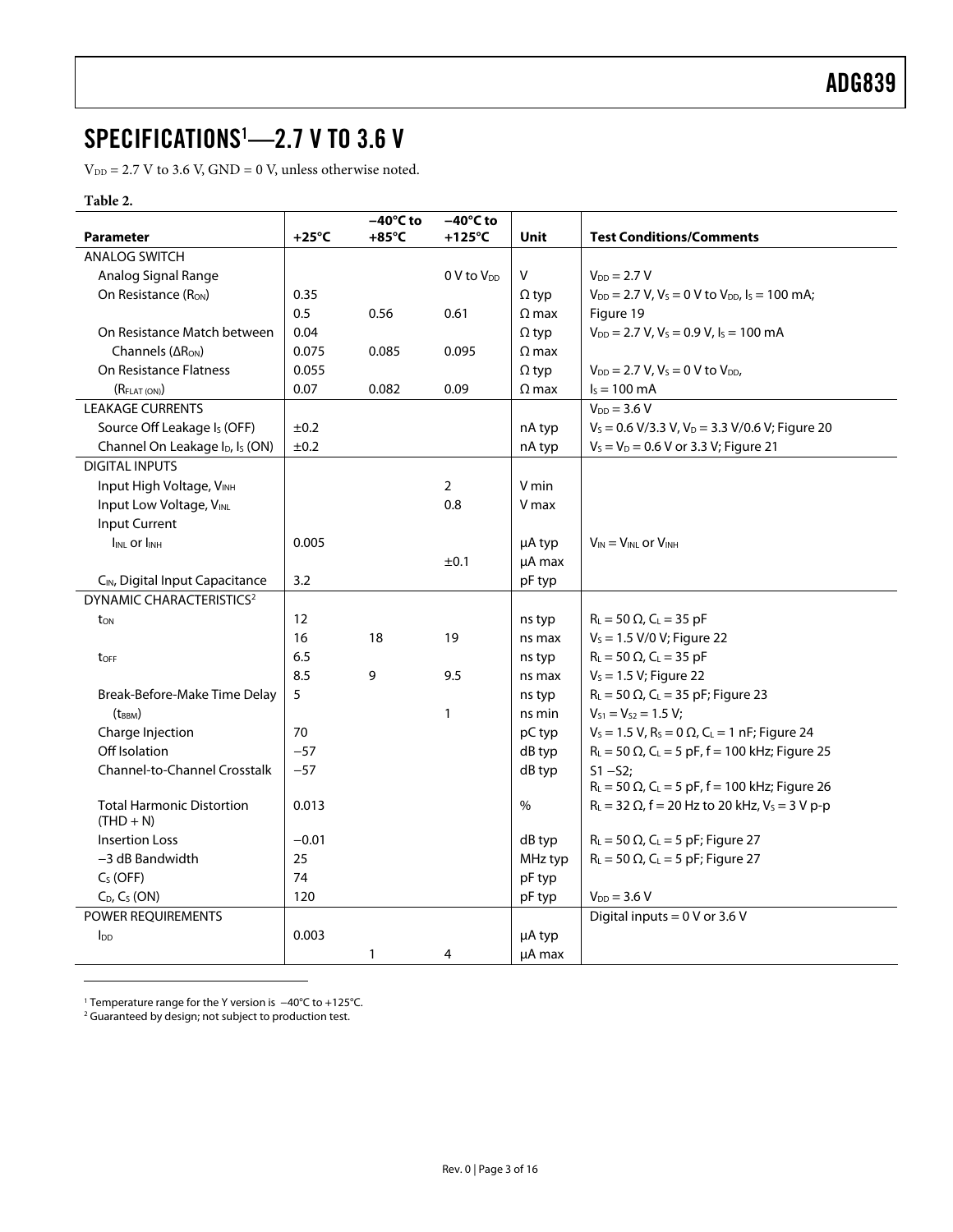### <span id="page-2-0"></span>SPECIFICATIONS[1](#page-2-1) —2.7 V TO 3.6 V

 $V_{DD} = 2.7$  V to 3.6 V, GND = 0 V, unless otherwise noted.

#### **Table 2.**

|                                                         |                 | $-40^{\circ}$ C to | $-40^{\circ}$ C to     |              |                                                                   |
|---------------------------------------------------------|-----------------|--------------------|------------------------|--------------|-------------------------------------------------------------------|
| <b>Parameter</b>                                        | $+25^{\circ}$ C | $+85^{\circ}$ C    | $+125^{\circ}$ C       | Unit         | <b>Test Conditions/Comments</b>                                   |
| <b>ANALOG SWITCH</b>                                    |                 |                    |                        |              |                                                                   |
| Analog Signal Range                                     |                 |                    | 0 V to V <sub>pp</sub> | $\mathsf{V}$ | $V_{DD} = 2.7 V$                                                  |
| On Resistance (Ron)                                     | 0.35            |                    |                        | $\Omega$ typ | $V_{DD} = 2.7 V$ , $V_s = 0 V$ to $V_{DD}$ , $I_s = 100$ mA;      |
|                                                         | 0.5             | 0.56               | 0.61                   | $\Omega$ max | Figure 19                                                         |
| On Resistance Match between                             | 0.04            |                    |                        | $\Omega$ typ | $V_{DD} = 2.7 V, V_s = 0.9 V, I_s = 100 mA$                       |
| Channels (ARON)                                         | 0.075           | 0.085              | 0.095                  | $\Omega$ max |                                                                   |
| On Resistance Flatness                                  | 0.055           |                    |                        | $\Omega$ typ | $V_{DD} = 2.7 V, V_s = 0 V to V_{DD}$                             |
| (R <sub>FLAT (ON)</sub> )                               | 0.07            | 0.082              | 0.09                   | $\Omega$ max | $I_s = 100 \text{ mA}$                                            |
| <b>LEAKAGE CURRENTS</b>                                 |                 |                    |                        |              | $V_{DD} = 3.6 V$                                                  |
| Source Off Leakage Is (OFF)                             | ±0.2            |                    |                        | nA typ       | $V_s$ = 0.6 V/3.3 V, V <sub>D</sub> = 3.3 V/0.6 V; Figure 20      |
| Channel On Leakage I <sub>D</sub> , I <sub>S</sub> (ON) | ±0.2            |                    |                        | nA typ       | $V_S = V_D = 0.6 V$ or 3.3 V; Figure 21                           |
| <b>DIGITAL INPUTS</b>                                   |                 |                    |                        |              |                                                                   |
| Input High Voltage, VINH                                |                 |                    | $\overline{2}$         | V min        |                                                                   |
| Input Low Voltage, VINL                                 |                 |                    | 0.8                    | V max        |                                                                   |
| Input Current                                           |                 |                    |                        |              |                                                                   |
| <b>IINL Or IINH</b>                                     | 0.005           |                    |                        | µA typ       | $V_{IN} = V_{INL}$ or $V_{INH}$                                   |
|                                                         |                 |                    | ±0.1                   | µA max       |                                                                   |
| CIN, Digital Input Capacitance                          | 3.2             |                    |                        | pF typ       |                                                                   |
| DYNAMIC CHARACTERISTICS <sup>2</sup>                    |                 |                    |                        |              |                                                                   |
| $t_{ON}$                                                | 12              |                    |                        | ns typ       | $R_L = 50 \Omega$ , C <sub>L</sub> = 35 pF                        |
|                                                         | 16              | 18                 | 19                     | ns max       | $V_s = 1.5 V/0 V;$ Figure 22                                      |
| t <sub>OFF</sub>                                        | 6.5             |                    |                        | ns typ       | $R_L = 50 \Omega$ , C <sub>L</sub> = 35 pF                        |
|                                                         | 8.5             | 9                  | 9.5                    | ns max       | $V_s = 1.5 V$ ; Figure 22                                         |
| Break-Before-Make Time Delay                            | 5               |                    |                        | ns typ       | $R_L = 50 \Omega$ , C <sub>L</sub> = 35 pF; Figure 23             |
| $(t_{BBM})$                                             |                 |                    | $\mathbf{1}$           | ns min       | $V_{S1} = V_{S2} = 1.5 V$ ;                                       |
| Charge Injection                                        | 70              |                    |                        | pC typ       | $V_s = 1.5 V$ , $R_s = 0 \Omega$ , $C_l = 1 nF$ ; Figure 24       |
| Off Isolation                                           | $-57$           |                    |                        | dB typ       | $R_L = 50 \Omega$ , C <sub>L</sub> = 5 pF, f = 100 kHz; Figure 25 |
| Channel-to-Channel Crosstalk                            | $-57$           |                    |                        | dB typ       | $S1 - S2:$                                                        |
|                                                         |                 |                    |                        |              | $R_L = 50 \Omega$ , C <sub>L</sub> = 5 pF, f = 100 kHz; Figure 26 |
| <b>Total Harmonic Distortion</b>                        | 0.013           |                    |                        | $\%$         | $R_L = 32 \Omega$ , f = 20 Hz to 20 kHz, V <sub>s</sub> = 3 V p-p |
| $(THD + N)$                                             |                 |                    |                        |              |                                                                   |
| <b>Insertion Loss</b>                                   | $-0.01$         |                    |                        | dB typ       | $R_L$ = 50 $\Omega$ , C <sub>L</sub> = 5 pF; Figure 27            |
| $-3$ dB Bandwidth                                       | 25              |                    |                        | MHz typ      | $R_L$ = 50 $\Omega$ , C <sub>L</sub> = 5 pF; Figure 27            |
| $C_S$ (OFF)                                             | 74              |                    |                        | pF typ       |                                                                   |
| $C_D$ , $C_S$ (ON)                                      | 120             |                    |                        | pF typ       | $V_{DD} = 3.6 V$                                                  |
| POWER REQUIREMENTS                                      |                 |                    |                        |              | Digital inputs = $0$ V or 3.6 V                                   |
| $I_{DD}$                                                | 0.003           |                    |                        | µA typ       |                                                                   |
|                                                         |                 | 1                  | 4                      | µA max       |                                                                   |

<span id="page-2-1"></span>1 Temperature range for the Y version is −40°C to +125°C. 2 Guaranteed by design; not subject to production test.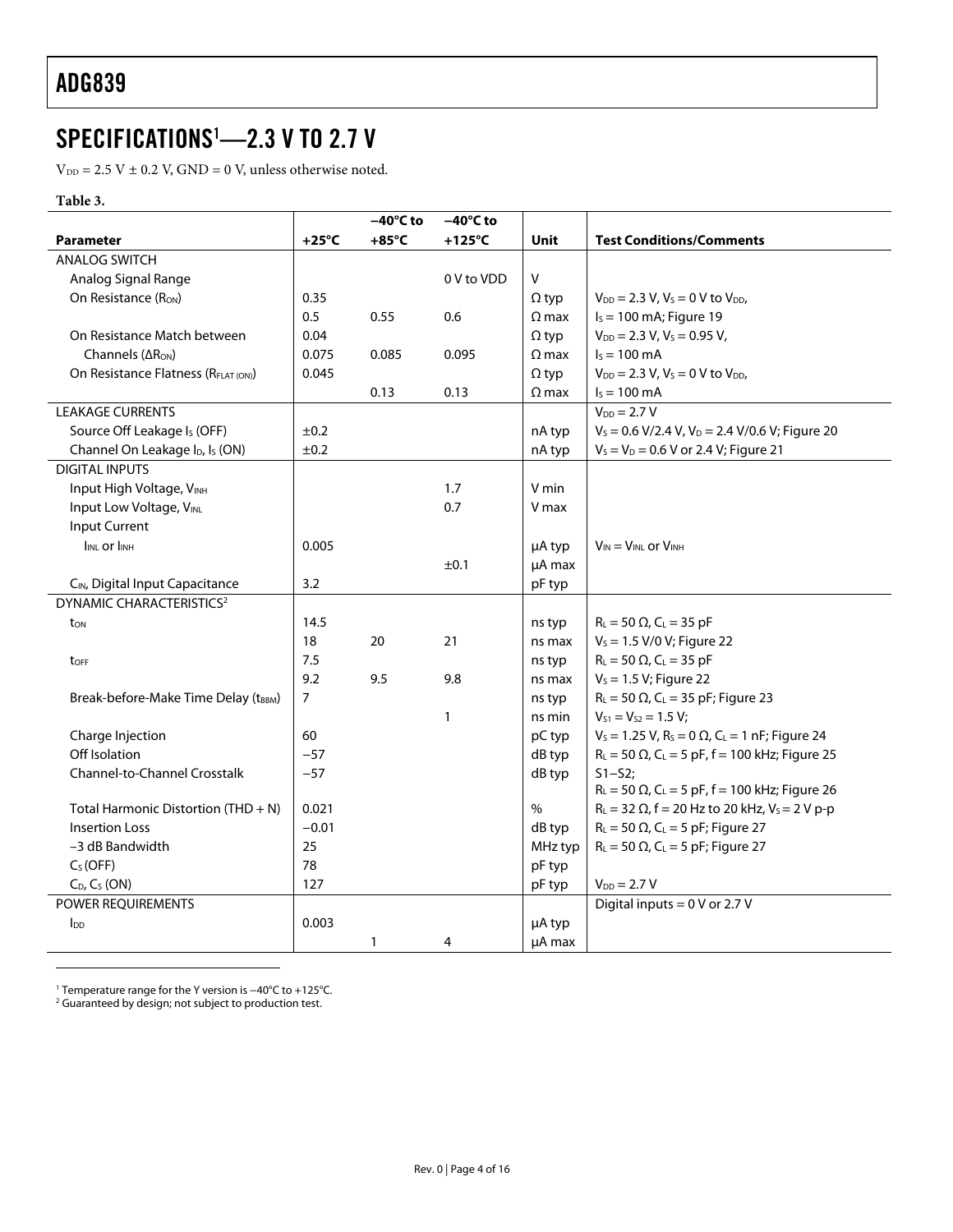### <span id="page-3-0"></span>SPECIFICATIONS[1](#page-3-2) —2.3 V TO 2.7 V

 $V_{DD} = 2.5 V \pm 0.2 V$ , GND = 0 V, unless otherwise noted.

#### **Table 3.**

|                                                         |         | $-40^{\circ}$ C to | $-40^{\circ}$ C to |              |                                                                                |
|---------------------------------------------------------|---------|--------------------|--------------------|--------------|--------------------------------------------------------------------------------|
| <b>Parameter</b>                                        | +25°C   | $+85^{\circ}$ C    | +125 $\degree$ C   | <b>Unit</b>  | <b>Test Conditions/Comments</b>                                                |
| <b>ANALOG SWITCH</b>                                    |         |                    |                    |              |                                                                                |
| Analog Signal Range                                     |         |                    | 0 V to VDD         | V            |                                                                                |
| On Resistance (RON)                                     | 0.35    |                    |                    | $\Omega$ typ | $V_{DD} = 2.3 V, V_s = 0 V to V_{DD}$                                          |
|                                                         | 0.5     | 0.55               | 0.6                | $\Omega$ max | $I_s = 100$ mA; Figure 19                                                      |
| On Resistance Match between                             | 0.04    |                    |                    | $\Omega$ typ | $V_{DD} = 2.3 V, V_s = 0.95 V,$                                                |
| Channels (ARON)                                         | 0.075   | 0.085              | 0.095              | $\Omega$ max | $I_s = 100 \text{ mA}$                                                         |
| On Resistance Flatness (R <sub>FLAT (ON)</sub> )        | 0.045   |                    |                    | $\Omega$ typ | $V_{DD}$ = 2.3 V, V <sub>s</sub> = 0 V to V <sub>DD</sub> ,                    |
|                                                         |         | 0.13               | 0.13               | $\Omega$ max | $I_s = 100 \text{ mA}$                                                         |
| <b>LEAKAGE CURRENTS</b>                                 |         |                    |                    |              | $V_{DD} = 2.7 V$                                                               |
| Source Off Leakage Is (OFF)                             | ±0.2    |                    |                    | nA typ       | $V_s$ = 0.6 V/2.4 V, V <sub>D</sub> = 2.4 V/0.6 V; Figure 20                   |
| Channel On Leakage I <sub>D</sub> , I <sub>s</sub> (ON) | ±0.2    |                    |                    | nA typ       | $V_S = V_D = 0.6 V$ or 2.4 V; Figure 21                                        |
| <b>DIGITAL INPUTS</b>                                   |         |                    |                    |              |                                                                                |
| Input High Voltage, VINH                                |         |                    | 1.7                | V min        |                                                                                |
| Input Low Voltage, VINL                                 |         |                    | 0.7                | V max        |                                                                                |
| Input Current                                           |         |                    |                    |              |                                                                                |
| I <sub>INL</sub> or I <sub>INH</sub>                    | 0.005   |                    |                    | µA typ       | $V_{IN} = V_{INI}$ or $V_{INH}$                                                |
|                                                         |         |                    | ±0.1               | µA max       |                                                                                |
| CIN, Digital Input Capacitance                          | 3.2     |                    |                    | pF typ       |                                                                                |
| <b>DYNAMIC CHARACTERISTICS<sup>2</sup></b>              |         |                    |                    |              |                                                                                |
| ton                                                     | 14.5    |                    |                    | ns typ       | $R_{L} = 50 \Omega$ , C <sub>L</sub> = 35 pF                                   |
|                                                         | 18      | 20                 | 21                 | ns max       | $V_s = 1.5$ V/0 V; Figure 22                                                   |
| toff                                                    | 7.5     |                    |                    | ns typ       | $R_{L} = 50 \Omega$ , C <sub>L</sub> = 35 pF                                   |
|                                                         | 9.2     | 9.5                | 9.8                | ns max       | $V_s = 1.5 V$ ; Figure 22                                                      |
| Break-before-Make Time Delay (tBBM)                     | 7       |                    |                    | ns typ       | $R_{L} = 50 \Omega$ , C <sub>L</sub> = 35 pF; Figure 23                        |
|                                                         |         |                    | $\mathbf{1}$       | ns min       | $V_{S1} = V_{S2} = 1.5 V;$                                                     |
| Charge Injection                                        | 60      |                    |                    | pC typ       | $V_s = 1.25$ V, R <sub>s</sub> = 0 $\Omega$ , C <sub>L</sub> = 1 nF; Figure 24 |
| Off Isolation                                           | $-57$   |                    |                    | dB typ       | $R_L = 50 \Omega$ , C <sub>L</sub> = 5 pF, f = 100 kHz; Figure 25              |
| Channel-to-Channel Crosstalk                            | $-57$   |                    |                    | dB typ       | $S1 - S2:$                                                                     |
|                                                         |         |                    |                    |              | $R_L = 50 \Omega$ , C <sub>L</sub> = 5 pF, f = 100 kHz; Figure 26              |
| Total Harmonic Distortion (THD + N)                     | 0.021   |                    |                    | $\%$         | $R_L = 32 \Omega$ , f = 20 Hz to 20 kHz, V <sub>s</sub> = 2 V p-p              |
| <b>Insertion Loss</b>                                   | $-0.01$ |                    |                    | dB typ       | $R_L$ = 50 $\Omega$ , C <sub>L</sub> = 5 pF; Figure 27                         |
| -3 dB Bandwidth                                         | 25      |                    |                    | MHz typ      | $R_L$ = 50 $\Omega$ , C <sub>L</sub> = 5 pF; Figure 27                         |
| $C_S(OFF)$                                              | 78      |                    |                    | pF typ       |                                                                                |
| $C_D$ , $C_S$ (ON)                                      | 127     |                    |                    | pF typ       | $V_{DD} = 2.7 V$                                                               |
| POWER REQUIREMENTS                                      |         |                    |                    |              | Digital inputs = $0$ V or 2.7 V                                                |
| <b>I</b> <sub>DD</sub>                                  | 0.003   |                    |                    | μA typ       |                                                                                |
|                                                         |         | 1                  | 4                  | µA max       |                                                                                |

<span id="page-3-2"></span>

<span id="page-3-1"></span>1 Temperature range for the Y version is −40°C to +125°C. 2 Guaranteed by design; not subject to production test.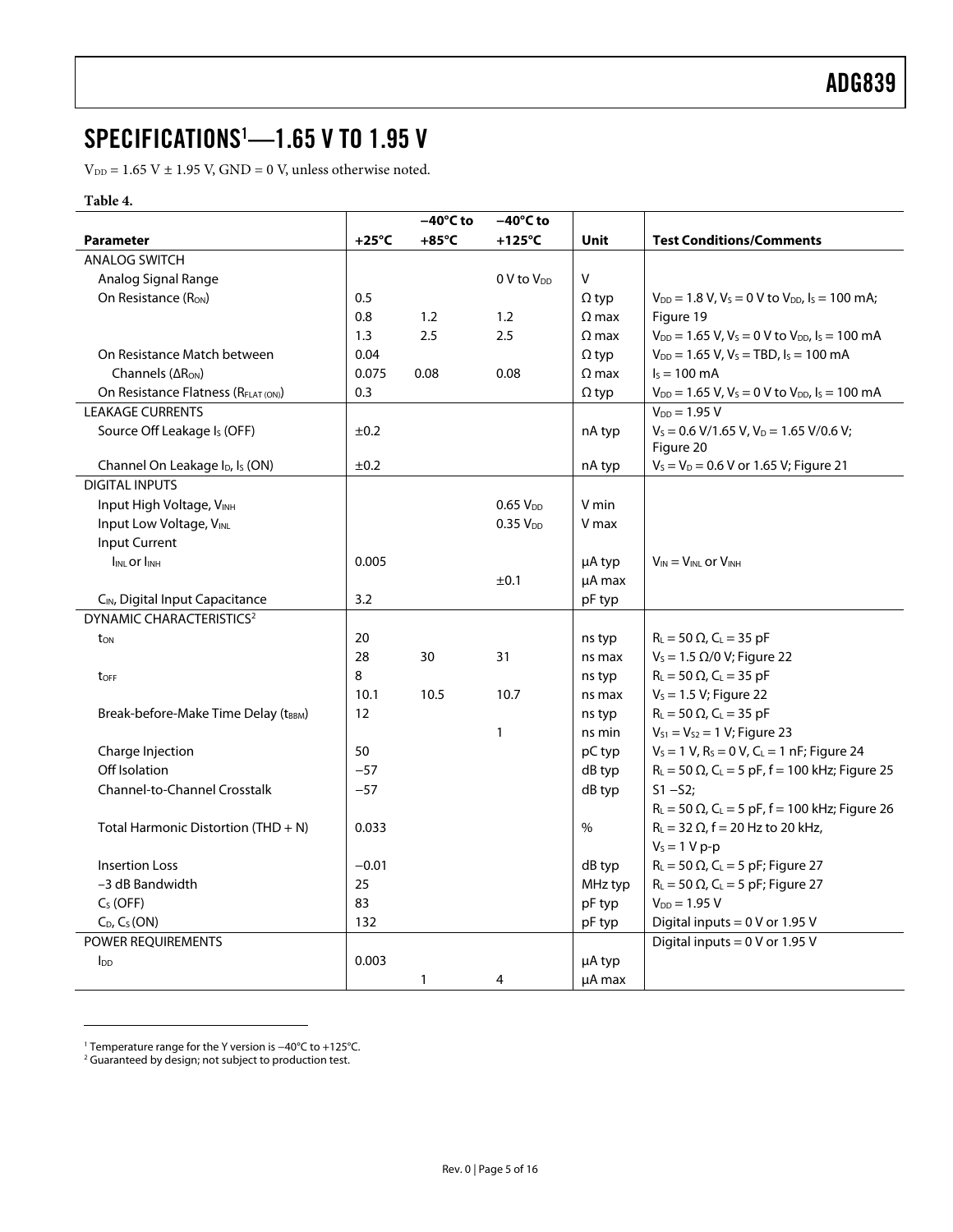### <span id="page-4-0"></span>SPECIFICATIONS[1](#page-4-2) —1.65 V TO 1.95 V

 $\mathrm{V_{DD}}$  = 1.65 V  $\pm$  1.95 V, GND = 0 V, unless otherwise noted.

#### **Table 4.**

|                                                         |                 | $-40^{\circ}$ C to | $-40^{\circ}$ C to     |              |                                                                   |
|---------------------------------------------------------|-----------------|--------------------|------------------------|--------------|-------------------------------------------------------------------|
| <b>Parameter</b>                                        | $+25^{\circ}$ C | $+85^{\circ}$ C    | $+125^{\circ}$ C       | Unit         | <b>Test Conditions/Comments</b>                                   |
| <b>ANALOG SWITCH</b>                                    |                 |                    |                        |              |                                                                   |
| Analog Signal Range                                     |                 |                    | 0 V to V <sub>DD</sub> | V            |                                                                   |
| On Resistance (R <sub>ON</sub> )                        | 0.5             |                    |                        | $\Omega$ typ | $V_{DD} = 1.8 V$ , $V_s = 0 V$ to $V_{DD}$ , $I_s = 100$ mA;      |
|                                                         | 0.8             | 1.2                | 1.2                    | $\Omega$ max | Figure 19                                                         |
|                                                         | 1.3             | 2.5                | 2.5                    | $\Omega$ max | $V_{DD} = 1.65$ V, $V_s = 0$ V to $V_{DD}$ , $I_s = 100$ mA       |
| On Resistance Match between                             | 0.04            |                    |                        | $\Omega$ typ | $V_{DD} = 1.65 V$ , $V_s = TBD$ , $I_s = 100 mA$                  |
| Channels ( $\Delta R_{ON}$ )                            | 0.075           | 0.08               | 0.08                   | $\Omega$ max | $I_s = 100 \text{ mA}$                                            |
| On Resistance Flatness (R <sub>FLAT (ON)</sub> )        | 0.3             |                    |                        | $\Omega$ typ | $V_{DD} = 1.65 V$ , $V_s = 0 V$ to $V_{DD}$ , $I_s = 100$ mA      |
| <b>LEAKAGE CURRENTS</b>                                 |                 |                    |                        |              | $V_{DD} = 1.95 V$                                                 |
| Source Off Leakage I <sub>s</sub> (OFF)                 | ±0.2            |                    |                        | nA typ       | $V_s = 0.6$ V/1.65 V, V <sub>D</sub> = 1.65 V/0.6 V;<br>Figure 20 |
| Channel On Leakage I <sub>D</sub> , I <sub>S</sub> (ON) | ±0.2            |                    |                        | nA typ       | $V_s = V_D = 0.6$ V or 1.65 V; Figure 21                          |
| <b>DIGITAL INPUTS</b>                                   |                 |                    |                        |              |                                                                   |
| Input High Voltage, VINH                                |                 |                    | 0.65 V <sub>DD</sub>   | V min        |                                                                   |
| Input Low Voltage, VINL                                 |                 |                    | $0.35$ $V_{DD}$        | V max        |                                                                   |
| <b>Input Current</b>                                    |                 |                    |                        |              |                                                                   |
| <b>IINL Or IINH</b>                                     | 0.005           |                    |                        | µA typ       | $V_{IN} = V_{INL}$ or $V_{INH}$                                   |
|                                                         |                 |                    | ±0.1                   | µA max       |                                                                   |
| CIN, Digital Input Capacitance                          | 3.2             |                    |                        | pF typ       |                                                                   |
| <b>DYNAMIC CHARACTERISTICS<sup>2</sup></b>              |                 |                    |                        |              |                                                                   |
| ton                                                     | 20              |                    |                        | ns typ       | $R_{L} = 50 \Omega$ , $C_{L} = 35$ pF                             |
|                                                         | 28              | 30                 | 31                     | ns max       | $V_s = 1.5 \Omega/0 V$ ; Figure 22                                |
| toff                                                    | 8               |                    |                        | ns typ       | $R_{L} = 50 \Omega$ , C <sub>L</sub> = 35 pF                      |
|                                                         | 10.1            | 10.5               | 10.7                   | ns max       | $V_s = 1.5 V$ ; Figure 22                                         |
| Break-before-Make Time Delay (tBBM)                     | 12              |                    |                        | ns typ       | $R_{L} = 50 \Omega$ , C <sub>L</sub> = 35 pF                      |
|                                                         |                 |                    | $\mathbf{1}$           | ns min       | $V_{S1} = V_{S2} = 1 V$ ; Figure 23                               |
| Charge Injection                                        | 50              |                    |                        | pC typ       | $V_s = 1 V$ , $R_s = 0 V$ , $C_l = 1 nF$ ; Figure 24              |
| Off Isolation                                           | $-57$           |                    |                        | dB typ       | $R_L = 50 \Omega$ , C <sub>L</sub> = 5 pF, f = 100 kHz; Figure 25 |
| <b>Channel-to-Channel Crosstalk</b>                     | $-57$           |                    |                        | dB typ       | $S1 - S2;$                                                        |
|                                                         |                 |                    |                        |              | $R_L = 50 \Omega$ , C <sub>L</sub> = 5 pF, f = 100 kHz; Figure 26 |
| Total Harmonic Distortion $(THD + N)$                   | 0.033           |                    |                        | $\%$         | $R_L = 32 \Omega$ , f = 20 Hz to 20 kHz,                          |
|                                                         |                 |                    |                        |              | $V_s = 1 V p-p$                                                   |
| <b>Insertion Loss</b>                                   | $-0.01$         |                    |                        | dB typ       | $R_L$ = 50 $\Omega$ , C <sub>L</sub> = 5 pF; Figure 27            |
| -3 dB Bandwidth                                         | 25              |                    |                        | MHz typ      | $R_L = 50 \Omega$ , C <sub>L</sub> = 5 pF; Figure 27              |
| $C_S$ (OFF)                                             | 83              |                    |                        | pF typ       | $V_{DD} = 1.95 V$                                                 |
| $C_D$ , $C_S(ON)$                                       | 132             |                    |                        | pF typ       | Digital inputs = $0$ V or 1.95 V                                  |
| POWER REQUIREMENTS                                      |                 |                    |                        |              | Digital inputs = 0 V or 1.95 V                                    |
| $I_{DD}$                                                | 0.003           |                    |                        | µA typ       |                                                                   |
|                                                         |                 | 1                  | 4                      | µA max       |                                                                   |

<span id="page-4-2"></span><span id="page-4-1"></span><sup>1</sup> Temperature range for the Y version is −40°C to +125°C. 2

<sup>&</sup>lt;sup>2</sup> Guaranteed by design; not subject to production test.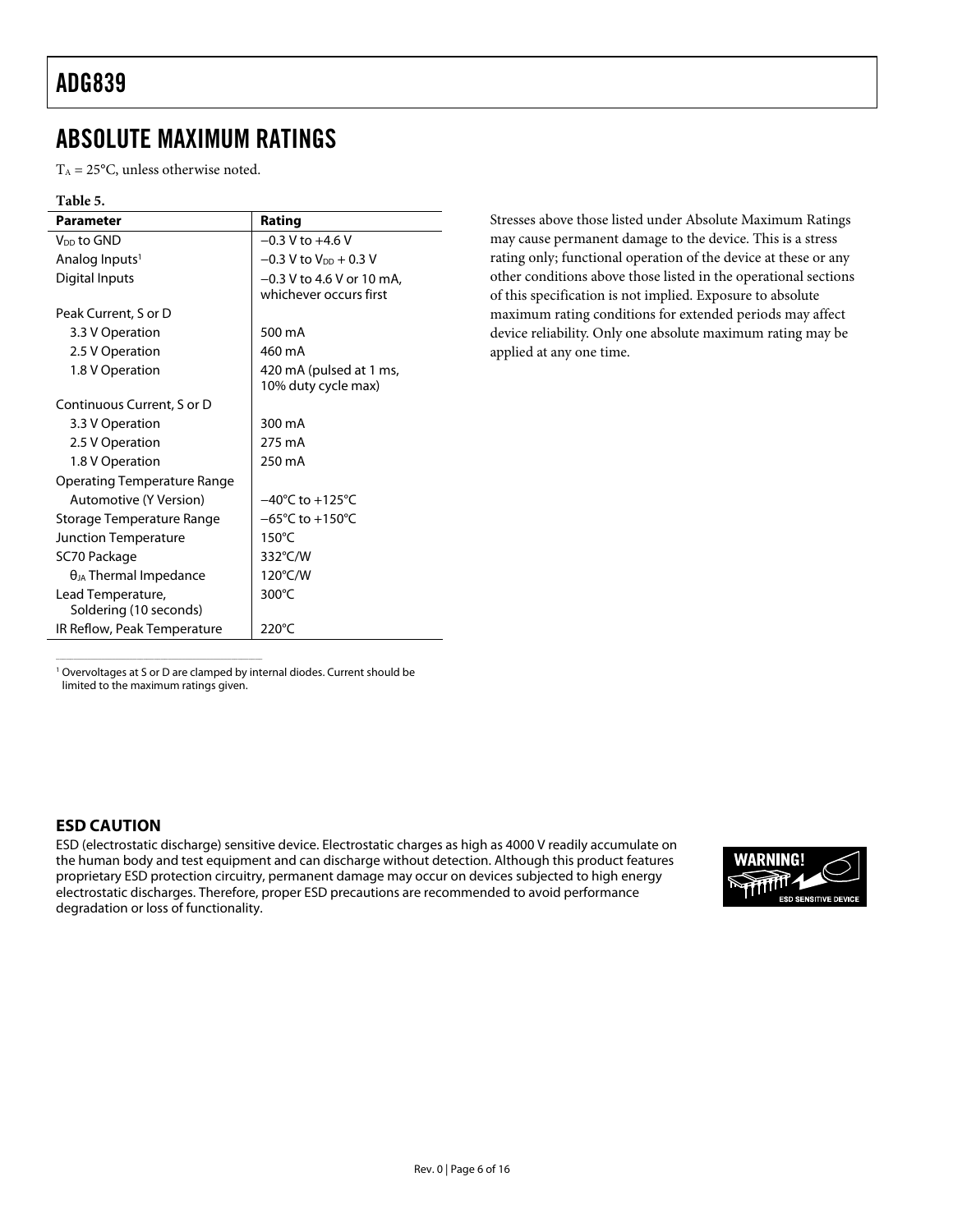### <span id="page-5-0"></span>ABSOLUTE MAXIMUM RATINGS

 $T_A = 25$ °C, unless otherwise noted.

#### **Table 5.**

| <b>Parameter</b>                            | Rating                                                |
|---------------------------------------------|-------------------------------------------------------|
| V <sub>DD</sub> to GND                      | $-0.3$ V to $+4.6$ V                                  |
| Analog Inputs <sup>1</sup>                  | $-0.3$ V to V <sub>pp</sub> + 0.3 V                   |
| Digital Inputs                              | $-0.3$ V to 4.6 V or 10 mA,<br>whichever occurs first |
| Peak Current, S or D                        |                                                       |
| 3.3 V Operation                             | 500 mA                                                |
| 2.5 V Operation                             | 460 mA                                                |
| 1.8 V Operation                             | 420 mA (pulsed at 1 ms,<br>10% duty cycle max)        |
| Continuous Current, S or D                  |                                                       |
| 3.3 V Operation                             | 300 mA                                                |
| 2.5 V Operation                             | 275 mA                                                |
| 1.8 V Operation                             | 250 mA                                                |
| Operating Temperature Range                 |                                                       |
| Automotive (Y Version)                      | $-40^{\circ}$ C to $+125^{\circ}$ C                   |
| Storage Temperature Range                   | $-65^{\circ}$ C to $+150^{\circ}$ C                   |
| Junction Temperature                        | $150^{\circ}$ C                                       |
| SC70 Package                                | 332°C/W                                               |
| $\theta_{JA}$ Thermal Impedance             | 120°C/W                                               |
| Lead Temperature,<br>Soldering (10 seconds) | $300^{\circ}$ C                                       |
| IR Reflow, Peak Temperature                 | $220^{\circ}$ C                                       |

Stresses above those listed under Absolute Maximum Ratings may cause permanent damage to the device. This is a stress rating only; functional operation of the device at these or any other conditions above those listed in the operational sections of this specification is not implied. Exposure to absolute maximum rating conditions for extended periods may affect device reliability. Only one absolute maximum rating may be applied at any one time.

<sup>1</sup> Overvoltages at S or D are clamped by internal diodes. Current should be limited to the maximum ratings given.

\_\_\_\_\_\_\_\_\_\_\_\_\_\_\_\_\_\_\_\_\_\_\_\_\_\_\_\_\_\_\_\_\_\_\_\_\_\_\_\_\_\_\_\_\_\_\_\_\_\_\_\_\_\_\_\_\_\_\_

### **ESD CAUTION**

ESD (electrostatic discharge) sensitive device. Electrostatic charges as high as 4000 V readily accumulate on the human body and test equipment and can discharge without detection. Although this product features proprietary ESD protection circuitry, permanent damage may occur on devices subjected to high energy electrostatic discharges. Therefore, proper ESD precautions are recommended to avoid performance degradation or loss of functionality.

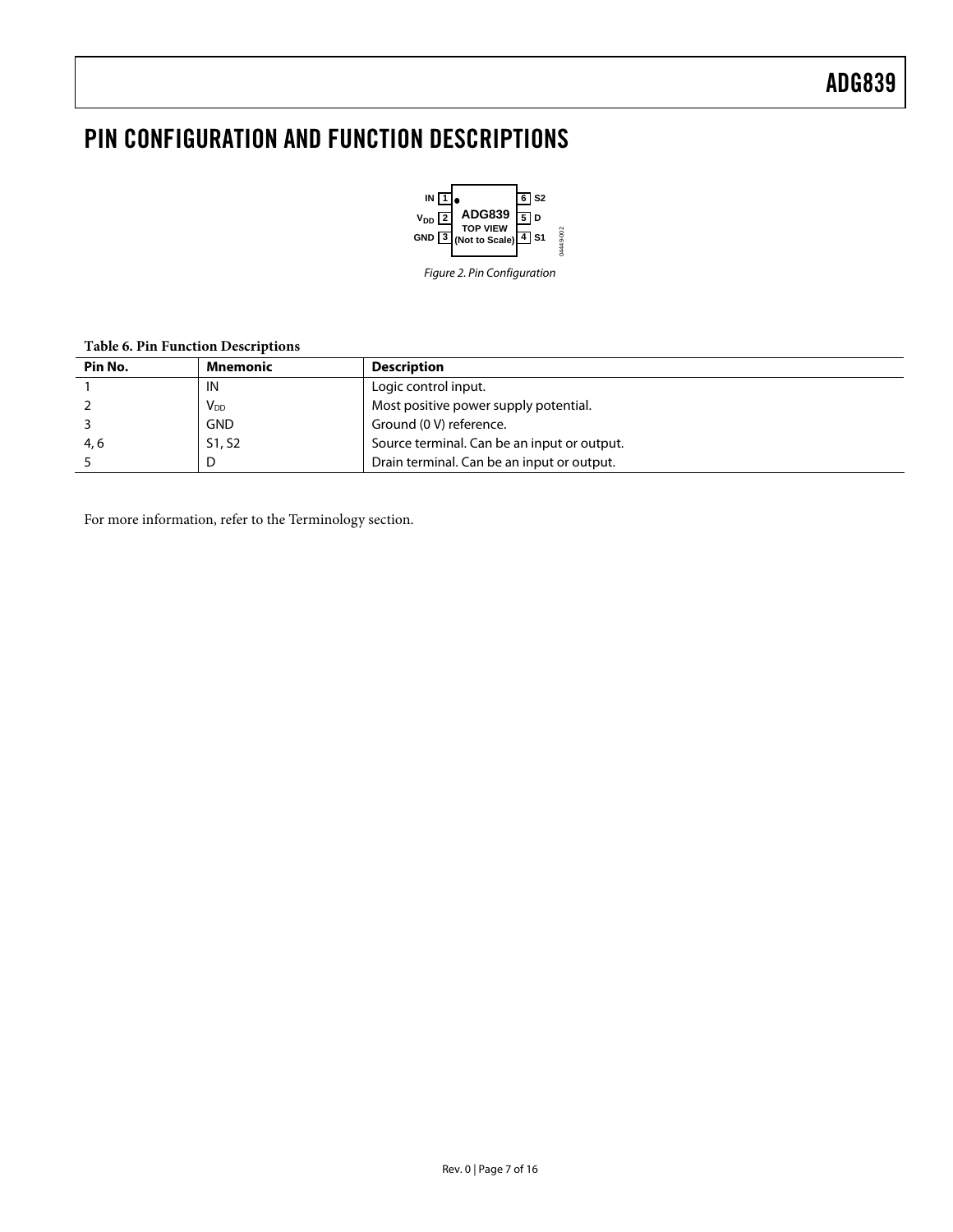### <span id="page-6-0"></span>PIN CONFIGURATION AND FUNCTION DESCRIPTIONS



Figure 2. Pin Configuration

#### **Table 6. Pin Function Descriptions**

| Pin No. | Mnemonic              | <b>Description</b>                          |
|---------|-----------------------|---------------------------------------------|
|         | IN                    | Logic control input.                        |
|         | <b>V<sub>DD</sub></b> | Most positive power supply potential.       |
|         | <b>GND</b>            | Ground (0 V) reference.                     |
| 4, 6    | S1, S2                | Source terminal. Can be an input or output. |
|         |                       | Drain terminal. Can be an input or output.  |

For more information, refer to the [Terminology s](#page-10-1)ection.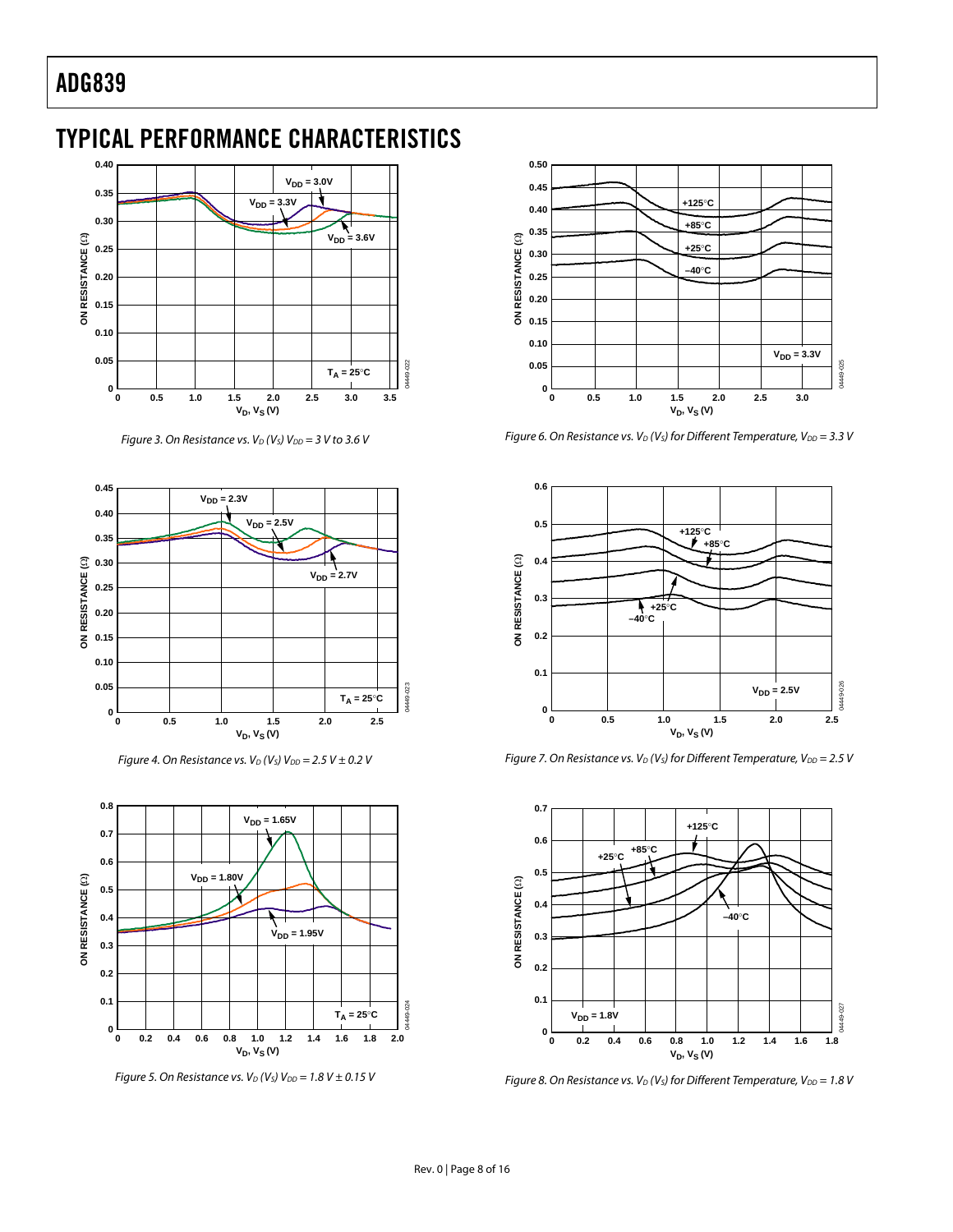### <span id="page-7-0"></span>TYPICAL PERFORMANCE CHARACTERISTICS



Figure 3. On Resistance vs.  $V_D$  (V<sub>S</sub>)  $V_{DD}$  = 3 V to 3.6 V



Figure 4. On Resistance vs.  $V_D$  (V<sub>s</sub>) V<sub>DD</sub> = 2.5 V  $\pm$  0.2 V



Figure 5. On Resistance vs.  $V_D$  (V<sub>s</sub>) V<sub>DD</sub> = 1.8 V  $\pm$  0.15 V



Figure 6. On Resistance vs.  $V_D$  (V<sub>S</sub>) for Different Temperature, V<sub>DD</sub> = 3.3 V



Figure 7. On Resistance vs.  $V_D$  (Vs) for Different Temperature,  $V_{DD} = 2.5$  V



Figure 8. On Resistance vs.  $V_D$  (V<sub>s</sub>) for Different Temperature, V<sub>DD</sub> = 1.8 V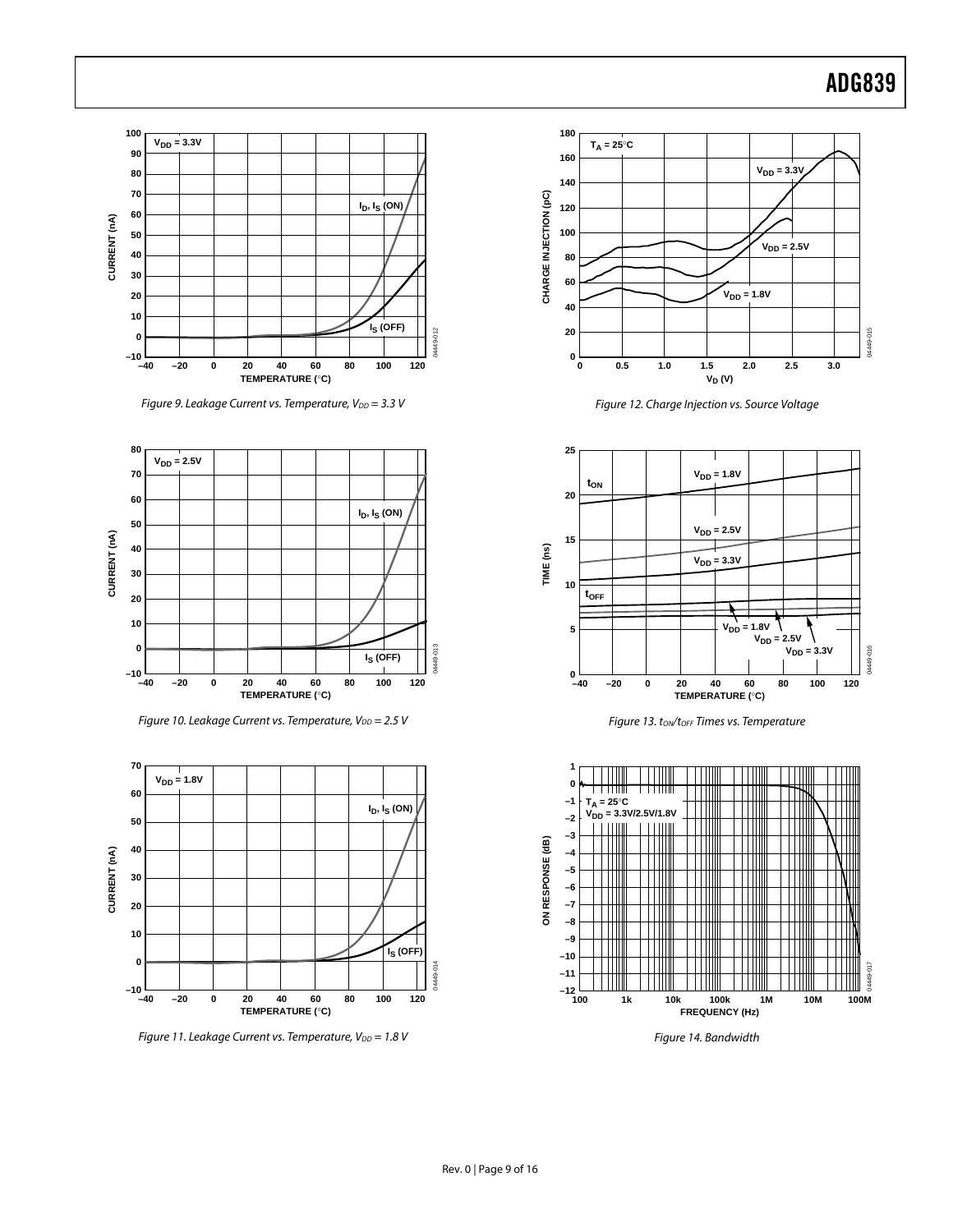

Figure 9. Leakage Current vs. Temperature,  $V_{DD} = 3.3$  V







Figure 11. Leakage Current vs. Temperature,  $V_{DD} = 1.8$  V



Figure 12. Charge Injection vs. Source Voltage





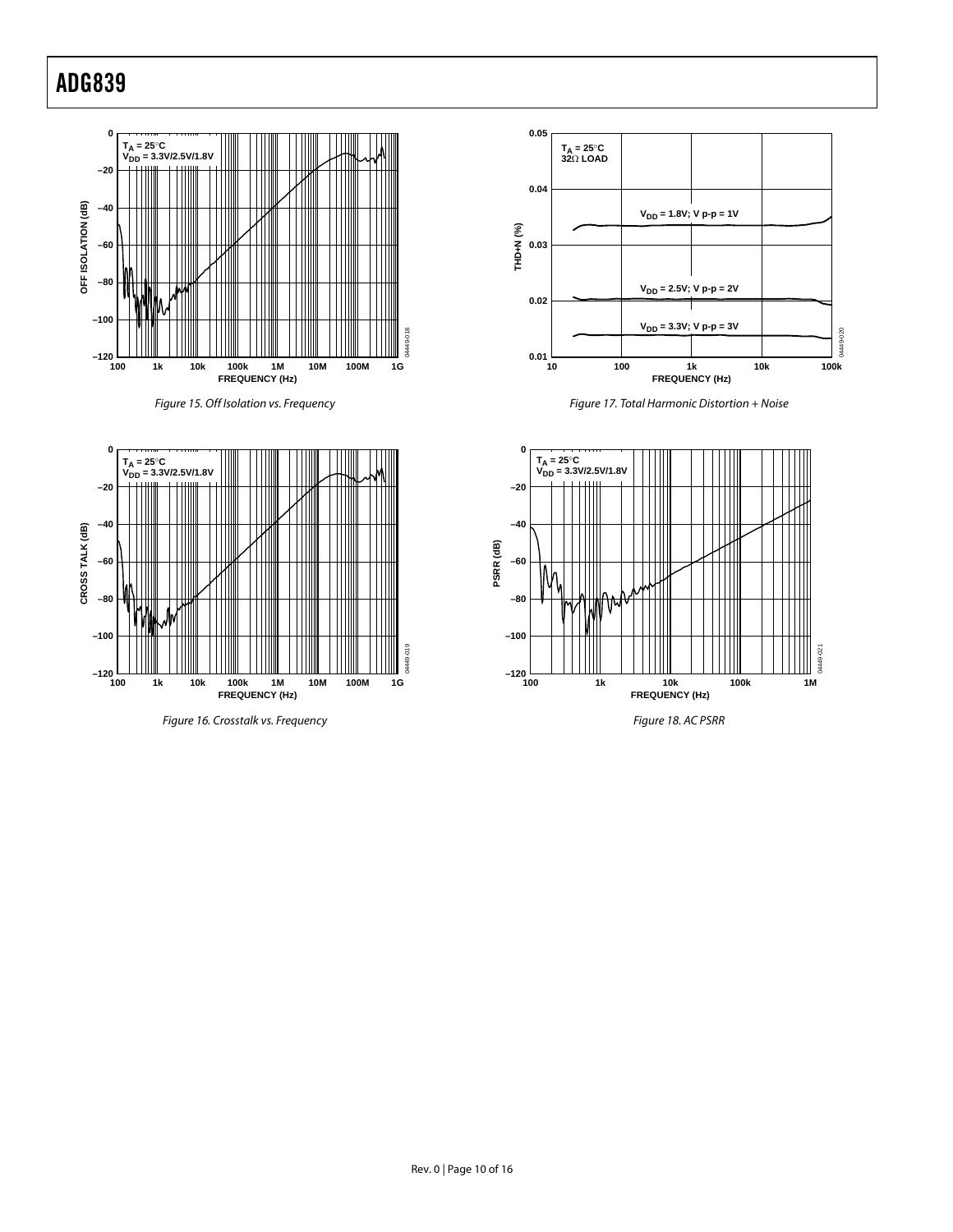









Figure 17. Total Harmonic Distortion + Noise



Figure 18. AC PSRR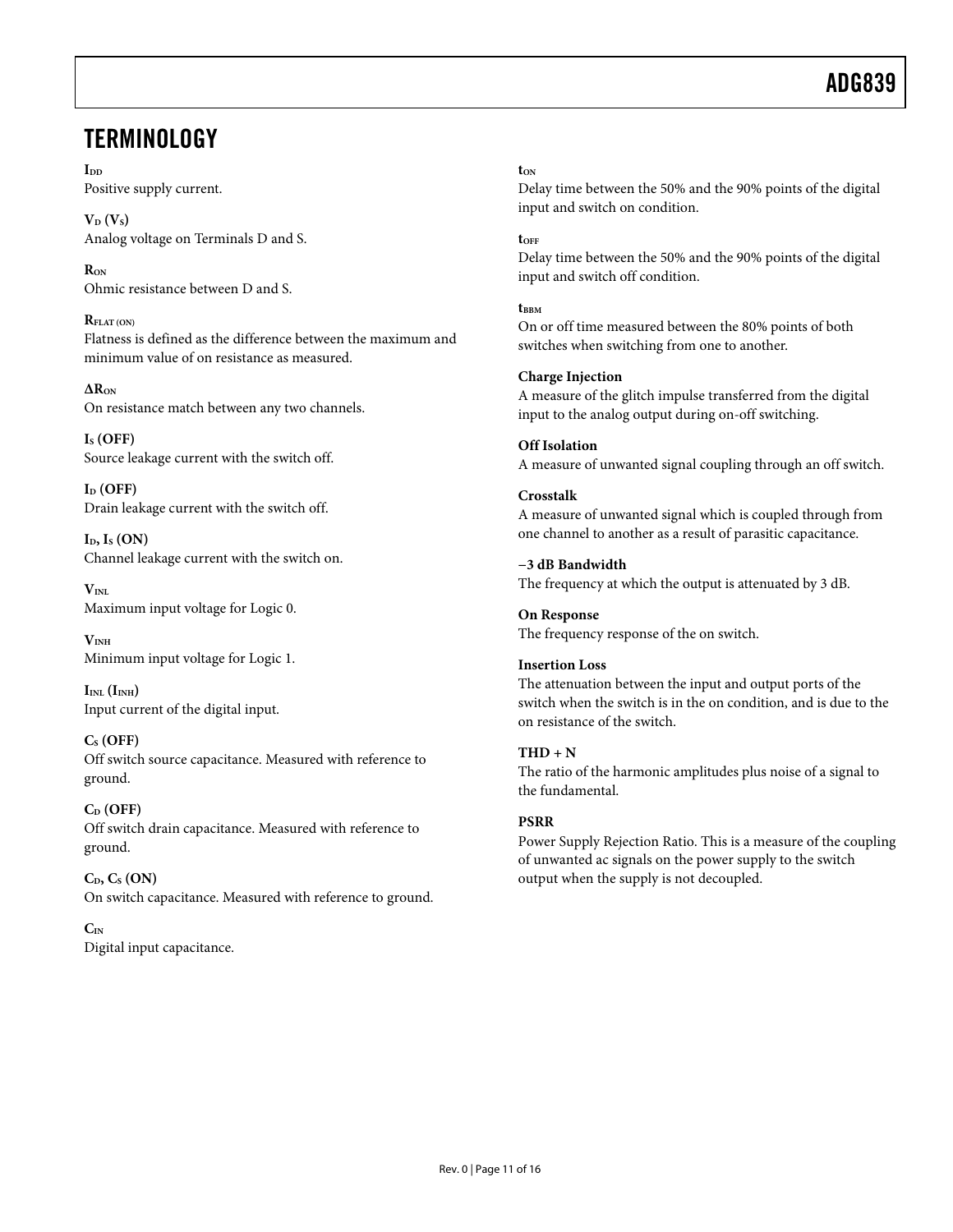### <span id="page-10-1"></span><span id="page-10-0"></span>**TERMINOLOGY**

 $\mathbf{I}_{\mathbf{D}}$ Positive supply current.

 $V_D (V_S)$ Analog voltage on Terminals D and S.

**RON** Ohmic resistance between D and S.

**RFLAT (ON)** Flatness is defined as the difference between the maximum and minimum value of on resistance as measured.

**∆RON** On resistance match between any two channels.

**IS (OFF)** Source leakage current with the switch off.

**ID (OFF)**  Drain leakage current with the switch off.

 $I<sub>D</sub>, I<sub>S</sub> (ON)$ Channel leakage current with the switch on.

 $V_{\text{INI}}$ Maximum input voltage for Logic 0.

**VINH** Minimum input voltage for Logic 1.

 $I_{INL}$  ( $I_{INH}$ ) Input current of the digital input.

### **CS (OFF)**

Off switch source capacitance. Measured with reference to ground.

**CD (OFF)** Off switch drain capacitance. Measured with reference to ground.

 $C_{\text{D}}$ ,  $C_{\text{S}}$  (ON) On switch capacitance. Measured with reference to ground.

**CIN**  Digital input capacitance.

#### $t_{\text{ON}}$

Delay time between the 50% and the 90% points of the digital input and switch on condition.

**tOFF**

Delay time between the 50% and the 90% points of the digital input and switch off condition.

**t**BBM On or off time measured between the 80% points of both switches when switching from one to another.

### **Charge Injection**

A measure of the glitch impulse transferred from the digital input to the analog output during on-off switching.

**Off Isolation** A measure of unwanted signal coupling through an off switch.

#### **Crosstalk**

A measure of unwanted signal which is coupled through from one channel to another as a result of parasitic capacitance.

**−3 dB Bandwidth** The frequency at which the output is attenuated by 3 dB.

**On Response** The frequency response of the on switch.

### **Insertion Loss**

The attenuation between the input and output ports of the switch when the switch is in the on condition, and is due to the on resistance of the switch.

#### $THD + N$

The ratio of the harmonic amplitudes plus noise of a signal to the fundamental.

### **PSRR**

Power Supply Rejection Ratio. This is a measure of the coupling of unwanted ac signals on the power supply to the switch output when the supply is not decoupled.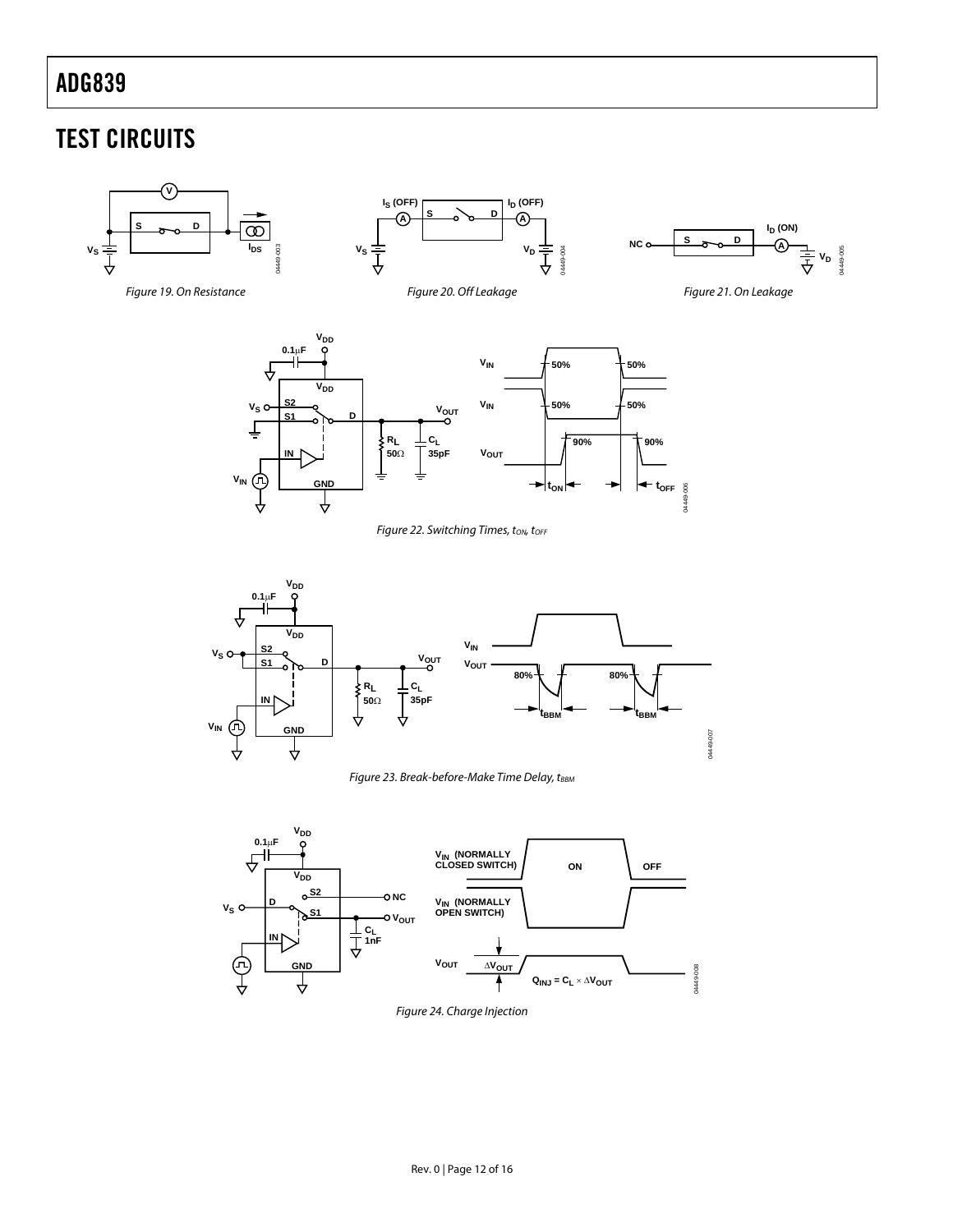## <span id="page-11-0"></span>TEST CIRCUITS

<span id="page-11-4"></span><span id="page-11-3"></span><span id="page-11-2"></span><span id="page-11-1"></span>

<span id="page-11-5"></span>

<span id="page-11-6"></span>Figure 23. Break-before-Make Time Delay, tBBM



Figure 24. Charge Injection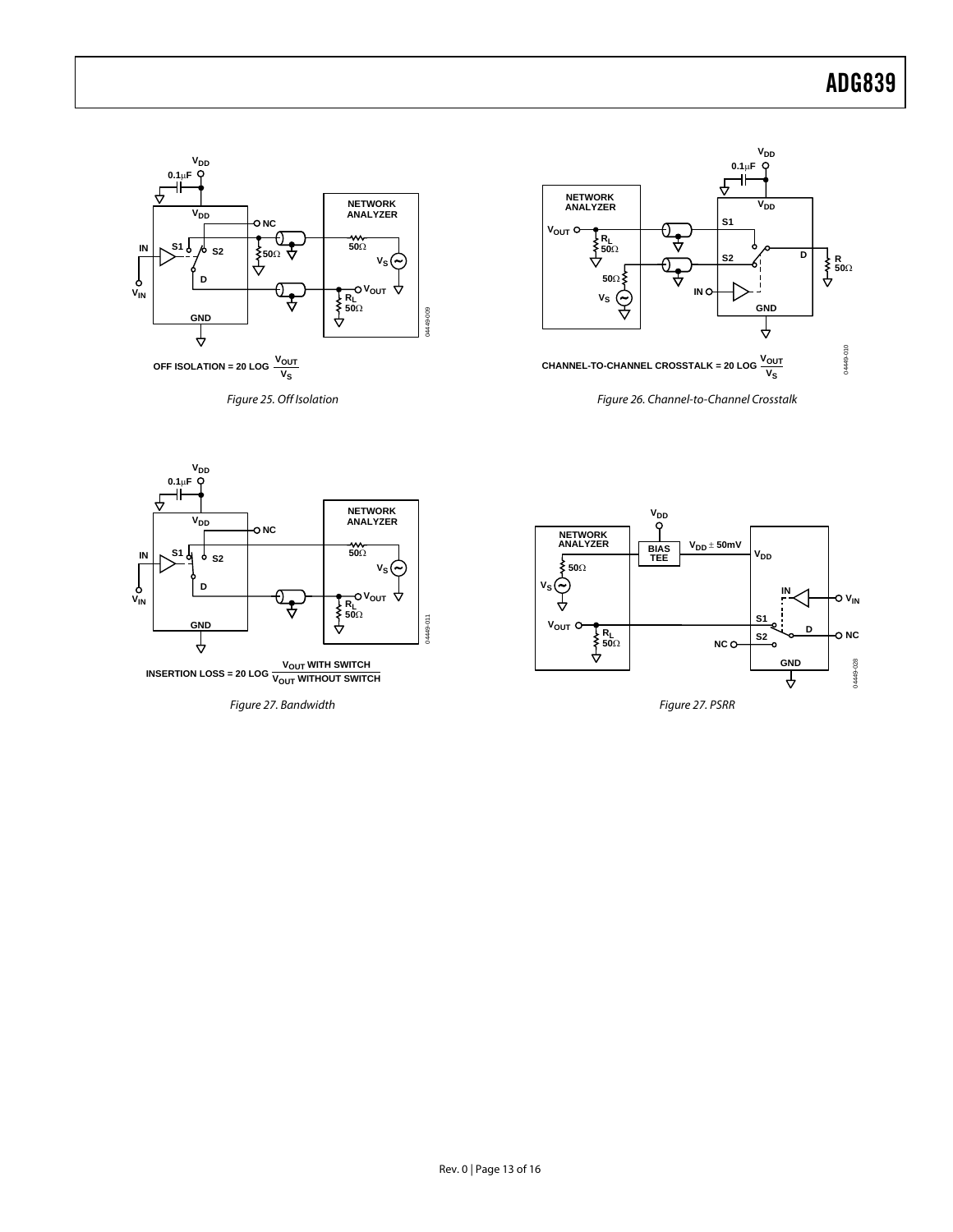<span id="page-12-0"></span>

<span id="page-12-2"></span>Figure 25. Off Isolation

<span id="page-12-1"></span>

**V<sub>DD</sub>** 

Figure 26. Channel-to-Channel Crosstalk



Figure 27. Bandwidth



Figure 27. PSRR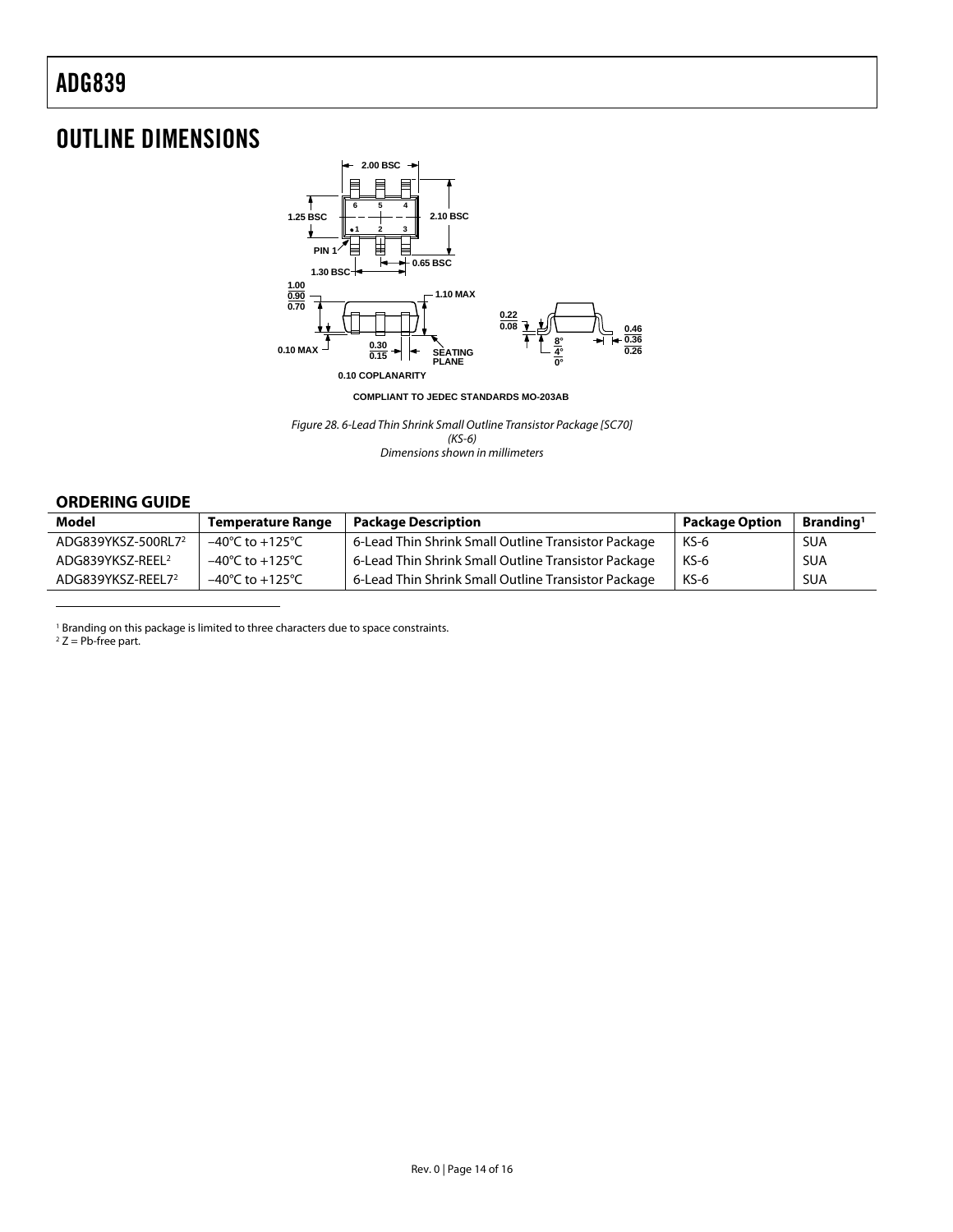### <span id="page-13-0"></span>OUTLINE DIMENSIONS



**COMPLIANT TO JEDEC STANDARDS MO-203AB**

Figure 28. 6-Lead Thin Shrink Small Outline Transistor Package [SC70] (KS-6) Dimensions shown in millimeters

#### **ORDERING GUIDE**

| Model                          | <b>Temperature Range</b>            | <b>Package Description</b>                          | <b>Package Option</b> | Branding <sup>1</sup> |
|--------------------------------|-------------------------------------|-----------------------------------------------------|-----------------------|-----------------------|
| ADG839YKSZ-500RL7 <sup>2</sup> | $-40^{\circ}$ C to $+125^{\circ}$ C | 6-Lead Thin Shrink Small Outline Transistor Package | KS-6                  | <b>SUA</b>            |
| ADG839YKSZ-REEL <sup>2</sup>   | $-40^{\circ}$ C to $+125^{\circ}$ C | 6-Lead Thin Shrink Small Outline Transistor Package | $KS-6$                | <b>SUA</b>            |
| ADG839YKSZ-REEL72              | $-40^{\circ}$ C to $+125^{\circ}$ C | 6-Lead Thin Shrink Small Outline Transistor Package | $KS-6$                | <b>SUA</b>            |

<span id="page-13-2"></span><sup>1</sup> Branding on this package is limited to three characters due to space constraints.<br><sup>2</sup> Z = Pb-free part.

<span id="page-13-3"></span><span id="page-13-1"></span>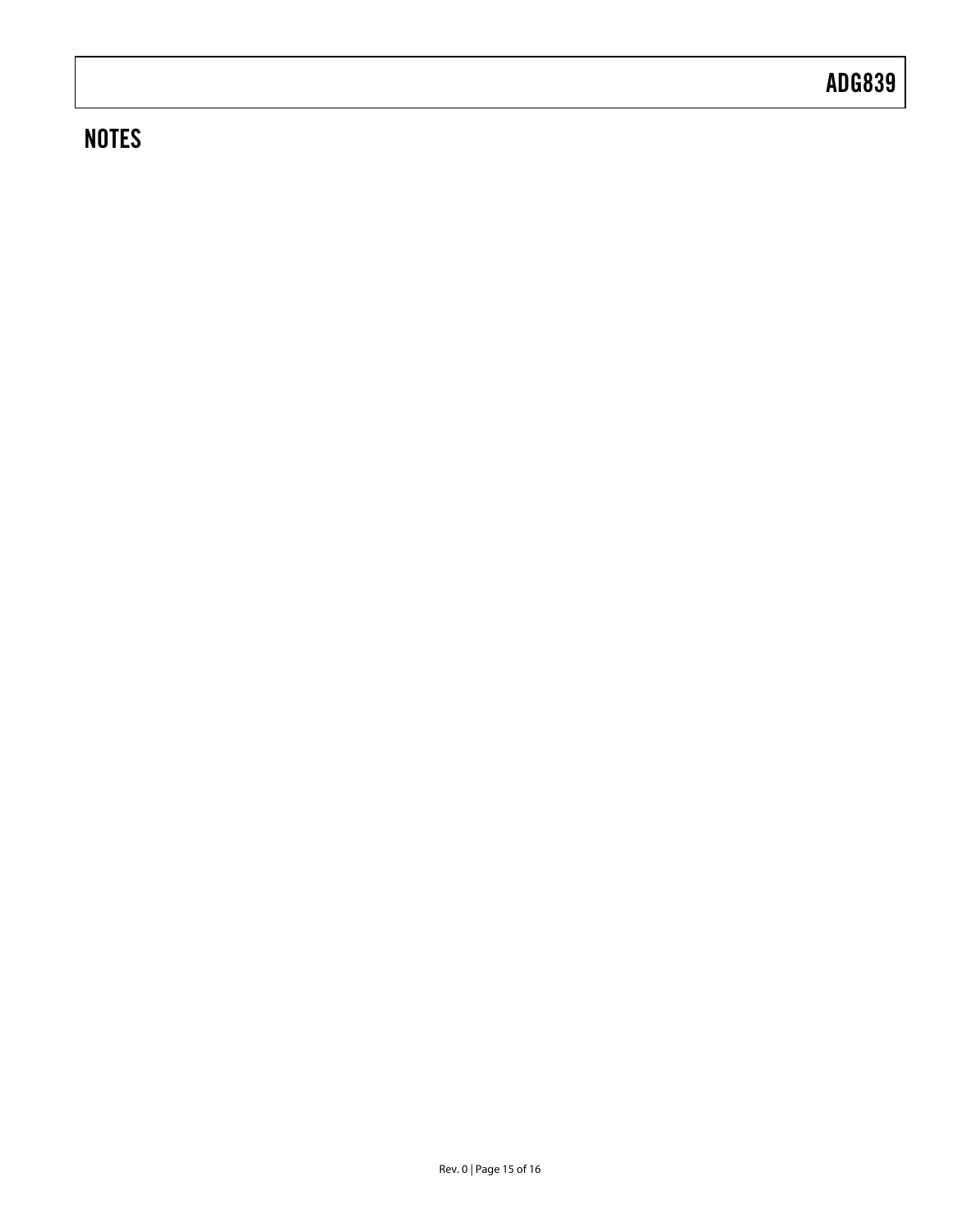### **NOTES**